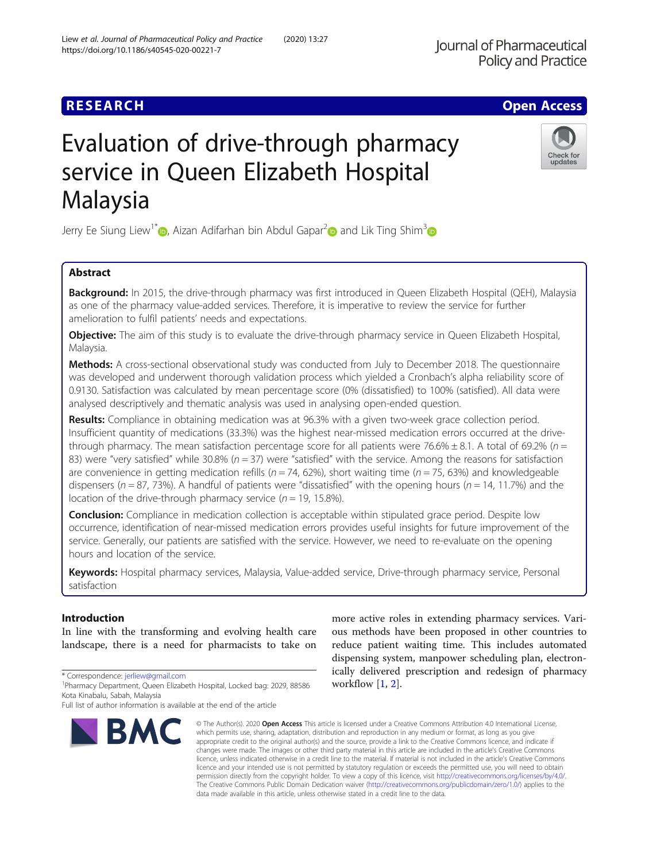## **RESEARCH CHE Open Access**

# Evaluation of drive-through pharmacy service in Queen Elizabeth Hospital Malaysia

Jerry Ee Siung Liew<sup>1\*</sup> [,](https://orcid.org/0000-0002-9790-5062) Aizan Adifarhan bin Abdul Gapar<sup>2</sup> and Lik Ting Shim<sup>[3](https://orcid.org/0000-0001-7632-4317)</sup>

## Abstract

Background: In 2015, the drive-through pharmacy was first introduced in Queen Elizabeth Hospital (QEH), Malaysia as one of the pharmacy value-added services. Therefore, it is imperative to review the service for further amelioration to fulfil patients' needs and expectations.

**Objective:** The aim of this study is to evaluate the drive-through pharmacy service in Queen Elizabeth Hospital, Malaysia.

**Methods:** A cross-sectional observational study was conducted from July to December 2018. The questionnaire was developed and underwent thorough validation process which yielded a Cronbach's alpha reliability score of 0.9130. Satisfaction was calculated by mean percentage score (0% (dissatisfied) to 100% (satisfied). All data were analysed descriptively and thematic analysis was used in analysing open-ended question.

Results: Compliance in obtaining medication was at 96.3% with a given two-week grace collection period. Insufficient quantity of medications (33.3%) was the highest near-missed medication errors occurred at the drivethrough pharmacy. The mean satisfaction percentage score for all patients were 76.6%  $\pm$  8.1. A total of 69.2% (n = 83) were "very satisfied" while 30.8% ( $n = 37$ ) were "satisfied" with the service. Among the reasons for satisfaction are convenience in getting medication refills ( $n = 74$ , 62%), short waiting time ( $n = 75$ , 63%) and knowledgeable dispensers ( $n = 87, 73%$ ). A handful of patients were "dissatisfied" with the opening hours ( $n = 14, 11.7%$ ) and the location of the drive-through pharmacy service ( $n = 19$ , 15.8%).

**Conclusion:** Compliance in medication collection is acceptable within stipulated grace period. Despite low occurrence, identification of near-missed medication errors provides useful insights for future improvement of the service. Generally, our patients are satisfied with the service. However, we need to re-evaluate on the opening hours and location of the service.

Keywords: Hospital pharmacy services, Malaysia, Value-added service, Drive-through pharmacy service, Personal satisfaction

## Introduction

In line with the transforming and evolving health care landscape, there is a need for pharmacists to take on

\* Correspondence: [jerliew@gmail.com](mailto:jerliew@gmail.com) <sup>1</sup>

#### © The Author(s), 2020 **Open Access** This article is licensed under a Creative Commons Attribution 4.0 International License, which permits use, sharing, adaptation, distribution and reproduction in any medium or format, as long as you give appropriate credit to the original author(s) and the source, provide a link to the Creative Commons licence, and indicate if changes were made. The images or other third party material in this article are included in the article's Creative Commons licence, unless indicated otherwise in a credit line to the material. If material is not included in the article's Creative Commons licence and your intended use is not permitted by statutory regulation or exceeds the permitted use, you will need to obtain permission directly from the copyright holder. To view a copy of this licence, visit [http://creativecommons.org/licenses/by/4.0/.](http://creativecommons.org/licenses/by/4.0/) The Creative Commons Public Domain Dedication waiver [\(http://creativecommons.org/publicdomain/zero/1.0/](http://creativecommons.org/publicdomain/zero/1.0/)) applies to the data made available in this article, unless otherwise stated in a credit line to the data.

workflow  $[1, 2]$  $[1, 2]$  $[1, 2]$  $[1, 2]$ .

more active roles in extending pharmacy services. Various methods have been proposed in other countries to reduce patient waiting time. This includes automated dispensing system, manpower scheduling plan, electronically delivered prescription and redesign of pharmacy





Check for updates

**Policy and Practice** 

**Iournal of Pharmaceutical** 

<sup>&</sup>lt;sup>1</sup>Pharmacy Department, Queen Elizabeth Hospital, Locked bag: 2029, 88586 Kota Kinabalu, Sabah, Malaysia

Full list of author information is available at the end of the article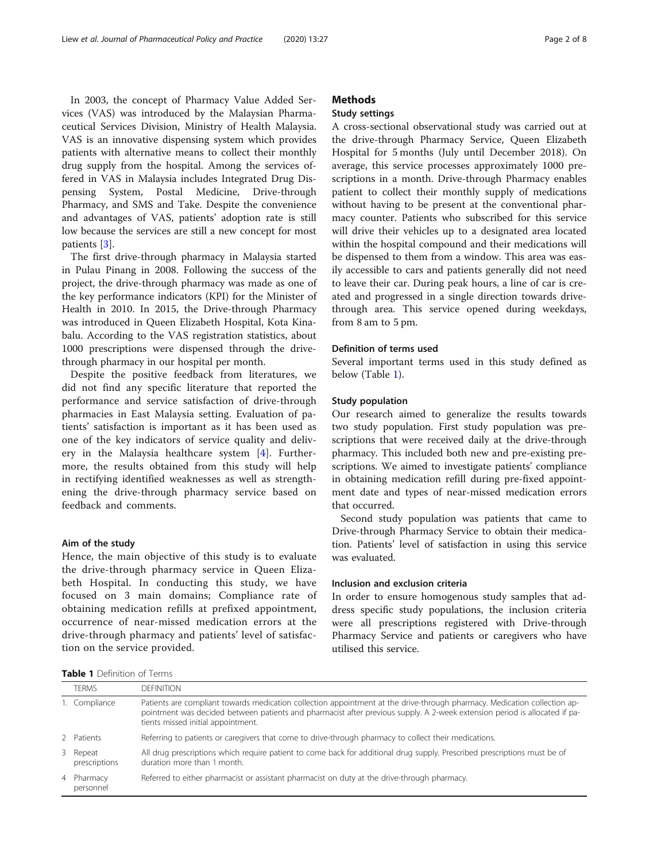In 2003, the concept of Pharmacy Value Added Services (VAS) was introduced by the Malaysian Pharmaceutical Services Division, Ministry of Health Malaysia. VAS is an innovative dispensing system which provides patients with alternative means to collect their monthly drug supply from the hospital. Among the services offered in VAS in Malaysia includes Integrated Drug Dispensing System, Postal Medicine, Drive-through Pharmacy, and SMS and Take. Despite the convenience and advantages of VAS, patients' adoption rate is still low because the services are still a new concept for most patients [[3\]](#page-7-0).

The first drive-through pharmacy in Malaysia started in Pulau Pinang in 2008. Following the success of the project, the drive-through pharmacy was made as one of the key performance indicators (KPI) for the Minister of Health in 2010. In 2015, the Drive-through Pharmacy was introduced in Queen Elizabeth Hospital, Kota Kinabalu. According to the VAS registration statistics, about 1000 prescriptions were dispensed through the drivethrough pharmacy in our hospital per month.

Despite the positive feedback from literatures, we did not find any specific literature that reported the performance and service satisfaction of drive-through pharmacies in East Malaysia setting. Evaluation of patients' satisfaction is important as it has been used as one of the key indicators of service quality and delivery in the Malaysia healthcare system [[4\]](#page-7-0). Furthermore, the results obtained from this study will help in rectifying identified weaknesses as well as strengthening the drive-through pharmacy service based on feedback and comments.

#### Aim of the study

Hence, the main objective of this study is to evaluate the drive-through pharmacy service in Queen Elizabeth Hospital. In conducting this study, we have focused on 3 main domains; Compliance rate of obtaining medication refills at prefixed appointment, occurrence of near-missed medication errors at the drive-through pharmacy and patients' level of satisfaction on the service provided.

## **Methods**

## Study settings

A cross-sectional observational study was carried out at the drive-through Pharmacy Service, Queen Elizabeth Hospital for 5 months (July until December 2018). On average, this service processes approximately 1000 prescriptions in a month. Drive-through Pharmacy enables patient to collect their monthly supply of medications without having to be present at the conventional pharmacy counter. Patients who subscribed for this service will drive their vehicles up to a designated area located within the hospital compound and their medications will be dispensed to them from a window. This area was easily accessible to cars and patients generally did not need to leave their car. During peak hours, a line of car is created and progressed in a single direction towards drivethrough area. This service opened during weekdays, from 8 am to 5 pm.

#### Definition of terms used

Several important terms used in this study defined as below (Table 1).

#### Study population

Our research aimed to generalize the results towards two study population. First study population was prescriptions that were received daily at the drive-through pharmacy. This included both new and pre-existing prescriptions. We aimed to investigate patients' compliance in obtaining medication refill during pre-fixed appointment date and types of near-missed medication errors that occurred.

Second study population was patients that came to Drive-through Pharmacy Service to obtain their medication. Patients' level of satisfaction in using this service was evaluated.

## Inclusion and exclusion criteria

In order to ensure homogenous study samples that address specific study populations, the inclusion criteria were all prescriptions registered with Drive-through Pharmacy Service and patients or caregivers who have utilised this service.

Table 1 Definition of Terms

| <b>TFRMS</b>              | <b>DEFINITION</b>                                                                                                                                                                                                                                                                             |
|---------------------------|-----------------------------------------------------------------------------------------------------------------------------------------------------------------------------------------------------------------------------------------------------------------------------------------------|
| 1. Compliance             | Patients are compliant towards medication collection appointment at the drive-through pharmacy. Medication collection ap-<br>pointment was decided between patients and pharmacist after previous supply. A 2-week extension period is allocated if pa-<br>tients missed initial appointment. |
| 2 Patients                | Referring to patients or caregivers that come to drive-through pharmacy to collect their medications.                                                                                                                                                                                         |
| 3 Repeat<br>prescriptions | All drug prescriptions which require patient to come back for additional drug supply. Prescribed prescriptions must be of<br>duration more than 1 month.                                                                                                                                      |
| 4 Pharmacy<br>personnel   | Referred to either pharmacist or assistant pharmacist on duty at the drive-through pharmacy.                                                                                                                                                                                                  |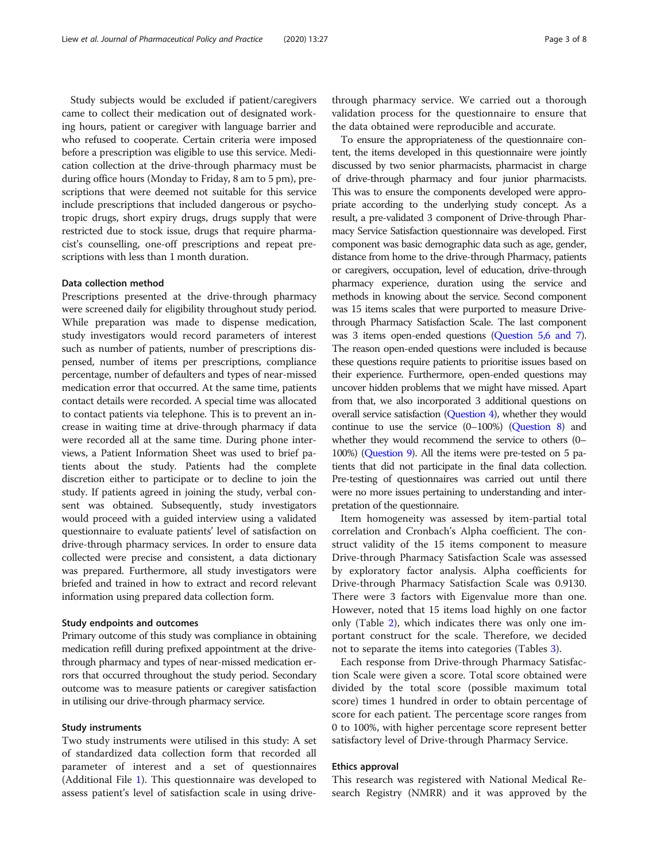Study subjects would be excluded if patient/caregivers came to collect their medication out of designated working hours, patient or caregiver with language barrier and who refused to cooperate. Certain criteria were imposed before a prescription was eligible to use this service. Medication collection at the drive-through pharmacy must be during office hours (Monday to Friday, 8 am to 5 pm), prescriptions that were deemed not suitable for this service include prescriptions that included dangerous or psychotropic drugs, short expiry drugs, drugs supply that were restricted due to stock issue, drugs that require pharmacist's counselling, one-off prescriptions and repeat prescriptions with less than 1 month duration.

## Data collection method

Prescriptions presented at the drive-through pharmacy were screened daily for eligibility throughout study period. While preparation was made to dispense medication, study investigators would record parameters of interest such as number of patients, number of prescriptions dispensed, number of items per prescriptions, compliance percentage, number of defaulters and types of near-missed medication error that occurred. At the same time, patients contact details were recorded. A special time was allocated to contact patients via telephone. This is to prevent an increase in waiting time at drive-through pharmacy if data were recorded all at the same time. During phone interviews, a Patient Information Sheet was used to brief patients about the study. Patients had the complete discretion either to participate or to decline to join the study. If patients agreed in joining the study, verbal consent was obtained. Subsequently, study investigators would proceed with a guided interview using a validated questionnaire to evaluate patients' level of satisfaction on drive-through pharmacy services. In order to ensure data collected were precise and consistent, a data dictionary was prepared. Furthermore, all study investigators were briefed and trained in how to extract and record relevant information using prepared data collection form.

## Study endpoints and outcomes

Primary outcome of this study was compliance in obtaining medication refill during prefixed appointment at the drivethrough pharmacy and types of near-missed medication errors that occurred throughout the study period. Secondary outcome was to measure patients or caregiver satisfaction in utilising our drive-through pharmacy service.

## Study instruments

Two study instruments were utilised in this study: A set of standardized data collection form that recorded all parameter of interest and a set of questionnaires (Additional File [1\)](#page-7-0). This questionnaire was developed to assess patient's level of satisfaction scale in using drive-

through pharmacy service. We carried out a thorough validation process for the questionnaire to ensure that the data obtained were reproducible and accurate.

To ensure the appropriateness of the questionnaire content, the items developed in this questionnaire were jointly discussed by two senior pharmacists, pharmacist in charge of drive-through pharmacy and four junior pharmacists. This was to ensure the components developed were appropriate according to the underlying study concept. As a result, a pre-validated 3 component of Drive-through Pharmacy Service Satisfaction questionnaire was developed. First component was basic demographic data such as age, gender, distance from home to the drive-through Pharmacy, patients or caregivers, occupation, level of education, drive-through pharmacy experience, duration using the service and methods in knowing about the service. Second component was 15 items scales that were purported to measure Drivethrough Pharmacy Satisfaction Scale. The last component was 3 items open-ended questions ([Question 5,6 and 7](#page-7-0)). The reason open-ended questions were included is because these questions require patients to prioritise issues based on their experience. Furthermore, open-ended questions may uncover hidden problems that we might have missed. Apart from that, we also incorporated 3 additional questions on overall service satisfaction [\(Question 4](#page-7-0)), whether they would continue to use the service  $(0-100%)$   $(Q$ uestion 8) and whether they would recommend the service to others (0– 100%) ([Question 9](#page-7-0)). All the items were pre-tested on 5 patients that did not participate in the final data collection. Pre-testing of questionnaires was carried out until there were no more issues pertaining to understanding and interpretation of the questionnaire.

Item homogeneity was assessed by item-partial total correlation and Cronbach's Alpha coefficient. The construct validity of the 15 items component to measure Drive-through Pharmacy Satisfaction Scale was assessed by exploratory factor analysis. Alpha coefficients for Drive-through Pharmacy Satisfaction Scale was 0.9130. There were 3 factors with Eigenvalue more than one. However, noted that 15 items load highly on one factor only (Table [2](#page-3-0)), which indicates there was only one important construct for the scale. Therefore, we decided not to separate the items into categories (Tables [3](#page-3-0)).

Each response from Drive-through Pharmacy Satisfaction Scale were given a score. Total score obtained were divided by the total score (possible maximum total score) times 1 hundred in order to obtain percentage of score for each patient. The percentage score ranges from 0 to 100%, with higher percentage score represent better satisfactory level of Drive-through Pharmacy Service.

## Ethics approval

This research was registered with National Medical Research Registry (NMRR) and it was approved by the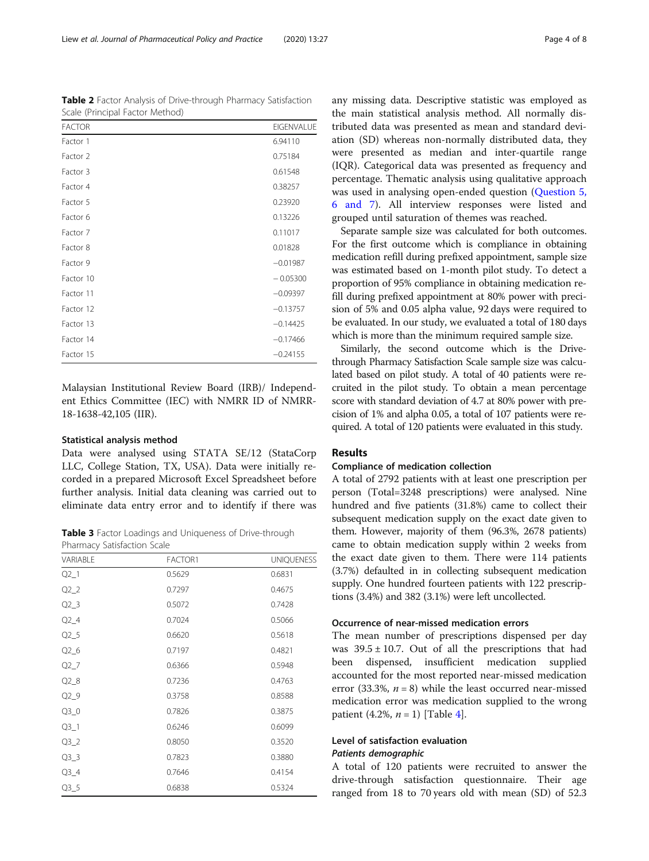<span id="page-3-0"></span>Table 2 Factor Analysis of Drive-through Pharmacy Satisfaction Scale (Principal Factor Method)

| <b>FACTOR</b> | <b>EIGENVALUE</b> |
|---------------|-------------------|
| Factor 1      | 6.94110           |
| Factor 2      | 0.75184           |
| Factor 3      | 0.61548           |
| Factor 4      | 0.38257           |
| Factor 5      | 0.23920           |
| Factor 6      | 0.13226           |
| Factor 7      | 0.11017           |
| Factor 8      | 0.01828           |
| Factor 9      | $-0.01987$        |
| Factor 10     | $-0.05300$        |
| Factor 11     | $-0.09397$        |
| Factor 12     | $-0.13757$        |
| Factor 13     | $-0.14425$        |
| Factor 14     | $-0.17466$        |
| Factor 15     | $-0.24155$        |

Malaysian Institutional Review Board (IRB)/ Independent Ethics Committee (IEC) with NMRR ID of NMRR-18-1638-42,105 (IIR).

## Statistical analysis method

Data were analysed using STATA SE/12 (StataCorp LLC, College Station, TX, USA). Data were initially recorded in a prepared Microsoft Excel Spreadsheet before further analysis. Initial data cleaning was carried out to eliminate data entry error and to identify if there was

Table 3 Factor Loadings and Uniqueness of Drive-through Pharmacy Satisfaction Scale

| VARIABLE | FACTOR1 | <b>UNIQUENESS</b> |
|----------|---------|-------------------|
| $Q2_1$   | 0.5629  | 0.6831            |
| $Q2_2$   | 0.7297  | 0.4675            |
| $Q2_3$   | 0.5072  | 0.7428            |
| $Q2_4$   | 0.7024  | 0.5066            |
| $Q2_5$   | 0.6620  | 0.5618            |
| $Q2_6$   | 0.7197  | 0.4821            |
| $Q2_7$   | 0.6366  | 0.5948            |
| $Q2_8$   | 0.7236  | 0.4763            |
| $Q2_9$   | 0.3758  | 0.8588            |
| $Q3_0$   | 0.7826  | 0.3875            |
| $Q3_1$   | 0.6246  | 0.6099            |
| $Q3_2$   | 0.8050  | 0.3520            |
| $Q3_3$   | 0.7823  | 0.3880            |
| $Q3_4$   | 0.7646  | 0.4154            |
| $Q3-5$   | 0.6838  | 0.5324            |

any missing data. Descriptive statistic was employed as the main statistical analysis method. All normally distributed data was presented as mean and standard deviation (SD) whereas non-normally distributed data, they were presented as median and inter-quartile range (IQR). Categorical data was presented as frequency and percentage. Thematic analysis using qualitative approach was used in analysing open-ended question ([Question 5,](#page-7-0) [6 and 7](#page-7-0)). All interview responses were listed and grouped until saturation of themes was reached.

Separate sample size was calculated for both outcomes. For the first outcome which is compliance in obtaining medication refill during prefixed appointment, sample size was estimated based on 1-month pilot study. To detect a proportion of 95% compliance in obtaining medication refill during prefixed appointment at 80% power with precision of 5% and 0.05 alpha value, 92 days were required to be evaluated. In our study, we evaluated a total of 180 days which is more than the minimum required sample size.

Similarly, the second outcome which is the Drivethrough Pharmacy Satisfaction Scale sample size was calculated based on pilot study. A total of 40 patients were recruited in the pilot study. To obtain a mean percentage score with standard deviation of 4.7 at 80% power with precision of 1% and alpha 0.05, a total of 107 patients were required. A total of 120 patients were evaluated in this study.

## Results

## Compliance of medication collection

A total of 2792 patients with at least one prescription per person (Total=3248 prescriptions) were analysed. Nine hundred and five patients (31.8%) came to collect their subsequent medication supply on the exact date given to them. However, majority of them (96.3%, 2678 patients) came to obtain medication supply within 2 weeks from the exact date given to them. There were 114 patients (3.7%) defaulted in in collecting subsequent medication supply. One hundred fourteen patients with 122 prescriptions (3.4%) and 382 (3.1%) were left uncollected.

## Occurrence of near-missed medication errors

The mean number of prescriptions dispensed per day was  $39.5 \pm 10.7$ . Out of all the prescriptions that had been dispensed, insufficient medication supplied accounted for the most reported near-missed medication error (33.3%,  $n = 8$ ) while the least occurred near-missed medication error was medication supplied to the wrong patient ([4](#page-4-0).2%,  $n = 1$ ) [Table 4].

## Level of satisfaction evaluation Patients demographic

A total of 120 patients were recruited to answer the drive-through satisfaction questionnaire. Their age ranged from 18 to 70 years old with mean (SD) of 52.3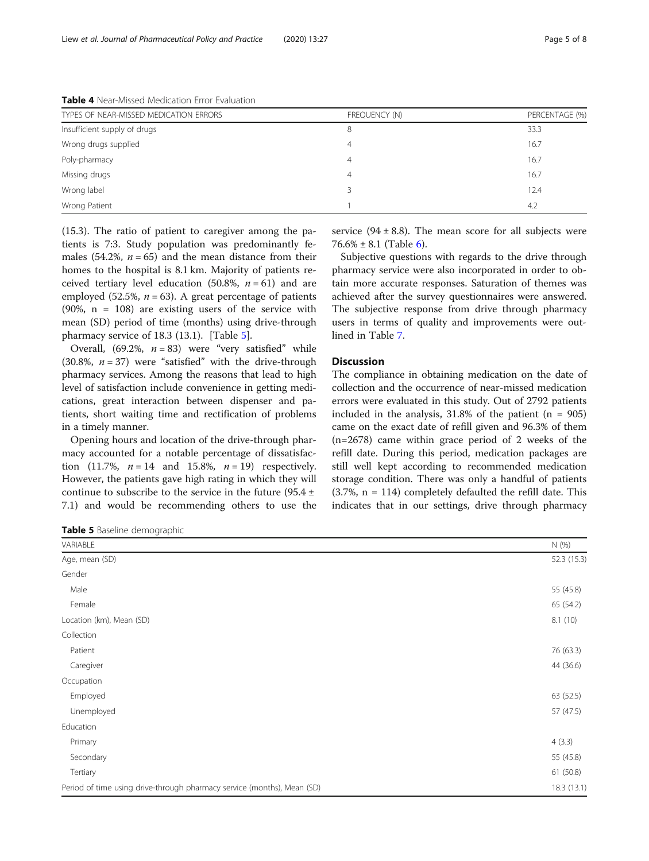<span id="page-4-0"></span>

| TYPES OF NEAR-MISSED MEDICATION ERRORS | FREQUENCY (N) | PERCENTAGE (%) |
|----------------------------------------|---------------|----------------|
| Insufficient supply of drugs           | 8             | 33.3           |
| Wrong drugs supplied                   | 4             | 16.7           |
| Poly-pharmacy                          | 4             | 16.7           |
| Missing drugs                          | 4             | 16.7           |
| Wrong label                            |               | 12.4           |
| Wrong Patient                          |               | 4.2            |

(15.3). The ratio of patient to caregiver among the patients is 7:3. Study population was predominantly females (54.2%,  $n = 65$ ) and the mean distance from their homes to the hospital is 8.1 km. Majority of patients received tertiary level education (50.8%,  $n = 61$ ) and are employed (52.5%,  $n = 63$ ). A great percentage of patients  $(90\%$ , n = 108) are existing users of the service with mean (SD) period of time (months) using drive-through pharmacy service of 18.3 (13.1). [Table 5].

Overall,  $(69.2\%, n = 83)$  were "very satisfied" while (30.8%,  $n = 37$ ) were "satisfied" with the drive-through pharmacy services. Among the reasons that lead to high level of satisfaction include convenience in getting medications, great interaction between dispenser and patients, short waiting time and rectification of problems in a timely manner.

Opening hours and location of the drive-through pharmacy accounted for a notable percentage of dissatisfaction (11.7%,  $n = 14$  and 15.8%,  $n = 19$ ) respectively. However, the patients gave high rating in which they will continue to subscribe to the service in the future (95.4  $\pm$ 7.1) and would be recommending others to use the

Table 5 Baseline demographic

service  $(94 \pm 8.8)$ . The mean score for all subjects were  $76.6\% \pm 8.1$  (Table [6\)](#page-5-0).

Subjective questions with regards to the drive through pharmacy service were also incorporated in order to obtain more accurate responses. Saturation of themes was achieved after the survey questionnaires were answered. The subjective response from drive through pharmacy users in terms of quality and improvements were outlined in Table [7.](#page-6-0)

## **Discussion**

The compliance in obtaining medication on the date of collection and the occurrence of near-missed medication errors were evaluated in this study. Out of 2792 patients included in the analysis,  $31.8\%$  of the patient (n = 905) came on the exact date of refill given and 96.3% of them (n=2678) came within grace period of 2 weeks of the refill date. During this period, medication packages are still well kept according to recommended medication storage condition. There was only a handful of patients  $(3.7\%, n = 114)$  completely defaulted the refill date. This indicates that in our settings, drive through pharmacy

| - - -                                                                   |             |
|-------------------------------------------------------------------------|-------------|
| VARIABLE                                                                | N (%)       |
| Age, mean (SD)                                                          | 52.3 (15.3) |
| Gender                                                                  |             |
| Male                                                                    | 55 (45.8)   |
| Female                                                                  | 65 (54.2)   |
| Location (km), Mean (SD)                                                | 8.1(10)     |
| Collection                                                              |             |
| Patient                                                                 | 76 (63.3)   |
| Caregiver                                                               | 44 (36.6)   |
| Occupation                                                              |             |
| Employed                                                                | 63 (52.5)   |
| Unemployed                                                              | 57 (47.5)   |
| Education                                                               |             |
| Primary                                                                 | 4(3.3)      |
| Secondary                                                               | 55 (45.8)   |
| Tertiary                                                                | 61 (50.8)   |
| Period of time using drive-through pharmacy service (months), Mean (SD) | 18.3 (13.1) |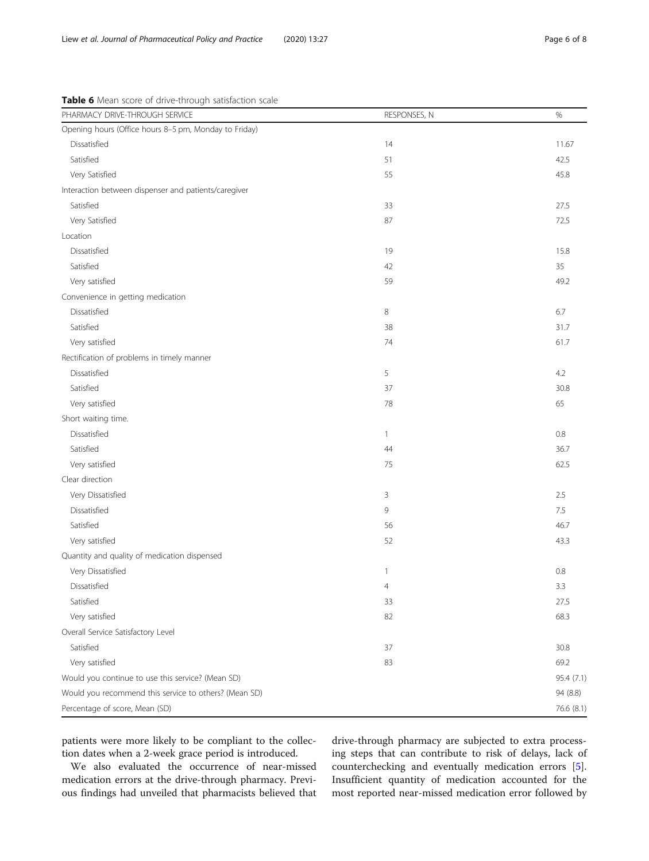| PHARMACY DRIVE-THROUGH SERVICE                        | RESPONSES, N | $\%$       |
|-------------------------------------------------------|--------------|------------|
| Opening hours (Office hours 8-5 pm, Monday to Friday) |              |            |
| Dissatisfied                                          | 14           | 11.67      |
| Satisfied                                             | 51           | 42.5       |
| Very Satisfied                                        | 55           | 45.8       |
| Interaction between dispenser and patients/caregiver  |              |            |
| Satisfied                                             | 33           | 27.5       |
| Very Satisfied                                        | 87           | 72.5       |
| Location                                              |              |            |
| Dissatisfied                                          | 19           | 15.8       |
| Satisfied                                             | 42           | 35         |
| Very satisfied                                        | 59           | 49.2       |
| Convenience in getting medication                     |              |            |
| Dissatisfied                                          | $\,8\,$      | 6.7        |
| Satisfied                                             | 38           | 31.7       |
| Very satisfied                                        | 74           | 61.7       |
| Rectification of problems in timely manner            |              |            |
| Dissatisfied                                          | 5            | 4.2        |
| Satisfied                                             | 37           | 30.8       |
| Very satisfied                                        | 78           | 65         |
| Short waiting time.                                   |              |            |
| Dissatisfied                                          | 1            | 0.8        |
| Satisfied                                             | 44           | 36.7       |
| Very satisfied                                        | 75           | 62.5       |
| Clear direction                                       |              |            |
| Very Dissatisfied                                     | 3            | 2.5        |
| Dissatisfied                                          | $\mathsf{G}$ | 7.5        |
| Satisfied                                             | 56           | 46.7       |
| Very satisfied                                        | 52           | 43.3       |
| Quantity and quality of medication dispensed          |              |            |
| Very Dissatisfied                                     | $\mathbf{1}$ | 0.8        |
| Dissatisfied                                          | 4            | 3.3        |
| Satisfied                                             | 33           | 27.5       |
| Very satisfied                                        | 82           | 68.3       |
| Overall Service Satisfactory Level                    |              |            |
| Satisfied                                             | 37           | 30.8       |
| Very satisfied                                        | 83           | 69.2       |
| Would you continue to use this service? (Mean SD)     |              | 95.4 (7.1) |
| Would you recommend this service to others? (Mean SD) |              | 94 (8.8)   |
| Percentage of score, Mean (SD)                        |              | 76.6 (8.1) |

<span id="page-5-0"></span>Table 6 Mean score of drive-through satisfaction scale

patients were more likely to be compliant to the collection dates when a 2-week grace period is introduced.

We also evaluated the occurrence of near-missed medication errors at the drive-through pharmacy. Previous findings had unveiled that pharmacists believed that

drive-through pharmacy are subjected to extra processing steps that can contribute to risk of delays, lack of counterchecking and eventually medication errors [\[5](#page-7-0)]. Insufficient quantity of medication accounted for the most reported near-missed medication error followed by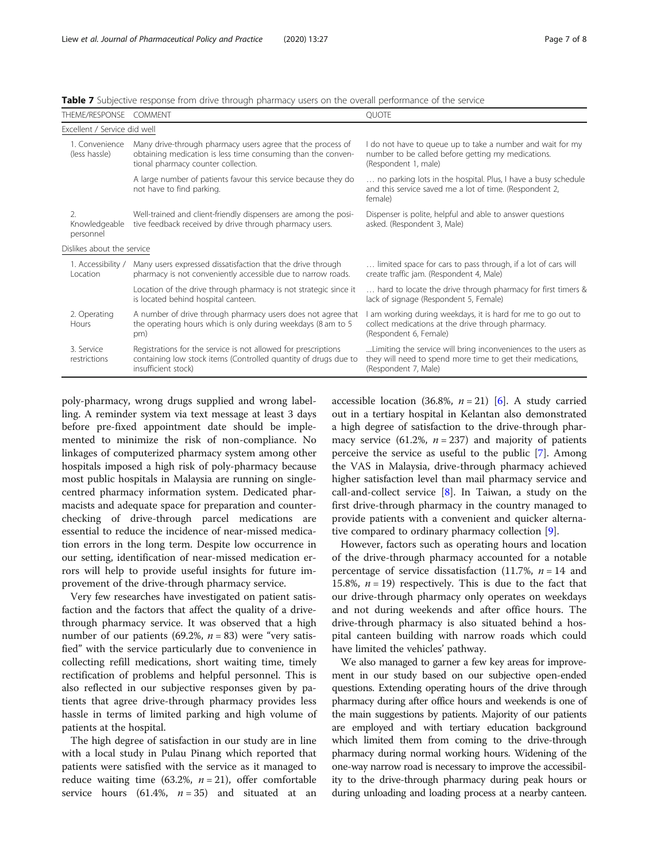| THEME/RESPONSE                   | <b>COMMENT</b>                                                                                                                                                     | <b>OUOTE</b>                                                                                                                                          |
|----------------------------------|--------------------------------------------------------------------------------------------------------------------------------------------------------------------|-------------------------------------------------------------------------------------------------------------------------------------------------------|
| Excellent / Service did well     |                                                                                                                                                                    |                                                                                                                                                       |
| 1. Convenience<br>(less hassle)  | Many drive-through pharmacy users agree that the process of<br>obtaining medication is less time consuming than the conven-<br>tional pharmacy counter collection. | I do not have to queue up to take a number and wait for my<br>number to be called before getting my medications.<br>(Respondent 1, male)              |
|                                  | A large number of patients favour this service because they do<br>not have to find parking.                                                                        | no parking lots in the hospital. Plus, I have a busy schedule<br>and this service saved me a lot of time. (Respondent 2,<br>female)                   |
| 2.<br>Knowledgeable<br>personnel | Well-trained and client-friendly dispensers are among the posi-<br>tive feedback received by drive through pharmacy users.                                         | Dispenser is polite, helpful and able to answer questions<br>asked. (Respondent 3, Male)                                                              |
| Dislikes about the service       |                                                                                                                                                                    |                                                                                                                                                       |
| 1. Accessibility /<br>Location   | Many users expressed dissatisfaction that the drive through<br>pharmacy is not conveniently accessible due to narrow roads.                                        | limited space for cars to pass through, if a lot of cars will<br>create traffic jam. (Respondent 4, Male)                                             |
|                                  | Location of the drive through pharmacy is not strategic since it<br>is located behind hospital canteen.                                                            | hard to locate the drive through pharmacy for first timers &<br>lack of signage (Respondent 5, Female)                                                |
| 2. Operating<br>Hours            | A number of drive through pharmacy users does not agree that<br>the operating hours which is only during weekdays (8 am to 5<br>pm)                                | am working during weekdays, it is hard for me to go out to<br>collect medications at the drive through pharmacy.<br>(Respondent 6, Female)            |
| 3. Service<br>restrictions       | Registrations for the service is not allowed for prescriptions<br>containing low stock items (Controlled quantity of drugs due to<br>insufficient stock)           | Limiting the service will bring inconveniences to the users as<br>they will need to spend more time to get their medications,<br>(Respondent 7, Male) |

<span id="page-6-0"></span>Table 7 Subjective response from drive through pharmacy users on the overall performance of the service

poly-pharmacy, wrong drugs supplied and wrong labelling. A reminder system via text message at least 3 days before pre-fixed appointment date should be implemented to minimize the risk of non-compliance. No linkages of computerized pharmacy system among other hospitals imposed a high risk of poly-pharmacy because most public hospitals in Malaysia are running on singlecentred pharmacy information system. Dedicated pharmacists and adequate space for preparation and counterchecking of drive-through parcel medications are essential to reduce the incidence of near-missed medication errors in the long term. Despite low occurrence in our setting, identification of near-missed medication errors will help to provide useful insights for future improvement of the drive-through pharmacy service.

Very few researches have investigated on patient satisfaction and the factors that affect the quality of a drivethrough pharmacy service. It was observed that a high number of our patients (69.2%,  $n = 83$ ) were "very satisfied" with the service particularly due to convenience in collecting refill medications, short waiting time, timely rectification of problems and helpful personnel. This is also reflected in our subjective responses given by patients that agree drive-through pharmacy provides less hassle in terms of limited parking and high volume of patients at the hospital.

The high degree of satisfaction in our study are in line with a local study in Pulau Pinang which reported that patients were satisfied with the service as it managed to reduce waiting time (63.2%,  $n = 21$ ), offer comfortable service hours (61.4%,  $n = 35$ ) and situated at an

accessible location (36.8%,  $n = 21$ ) [[6\]](#page-7-0). A study carried out in a tertiary hospital in Kelantan also demonstrated a high degree of satisfaction to the drive-through pharmacy service (61.2%,  $n = 237$ ) and majority of patients perceive the service as useful to the public [[7\]](#page-7-0). Among the VAS in Malaysia, drive-through pharmacy achieved higher satisfaction level than mail pharmacy service and call-and-collect service  $[8]$  $[8]$ . In Taiwan, a study on the first drive-through pharmacy in the country managed to provide patients with a convenient and quicker alternative compared to ordinary pharmacy collection [\[9](#page-7-0)].

However, factors such as operating hours and location of the drive-through pharmacy accounted for a notable percentage of service dissatisfaction (11.7%,  $n = 14$  and 15.8%,  $n = 19$ ) respectively. This is due to the fact that our drive-through pharmacy only operates on weekdays and not during weekends and after office hours. The drive-through pharmacy is also situated behind a hospital canteen building with narrow roads which could have limited the vehicles' pathway.

We also managed to garner a few key areas for improvement in our study based on our subjective open-ended questions. Extending operating hours of the drive through pharmacy during after office hours and weekends is one of the main suggestions by patients. Majority of our patients are employed and with tertiary education background which limited them from coming to the drive-through pharmacy during normal working hours. Widening of the one-way narrow road is necessary to improve the accessibility to the drive-through pharmacy during peak hours or during unloading and loading process at a nearby canteen.